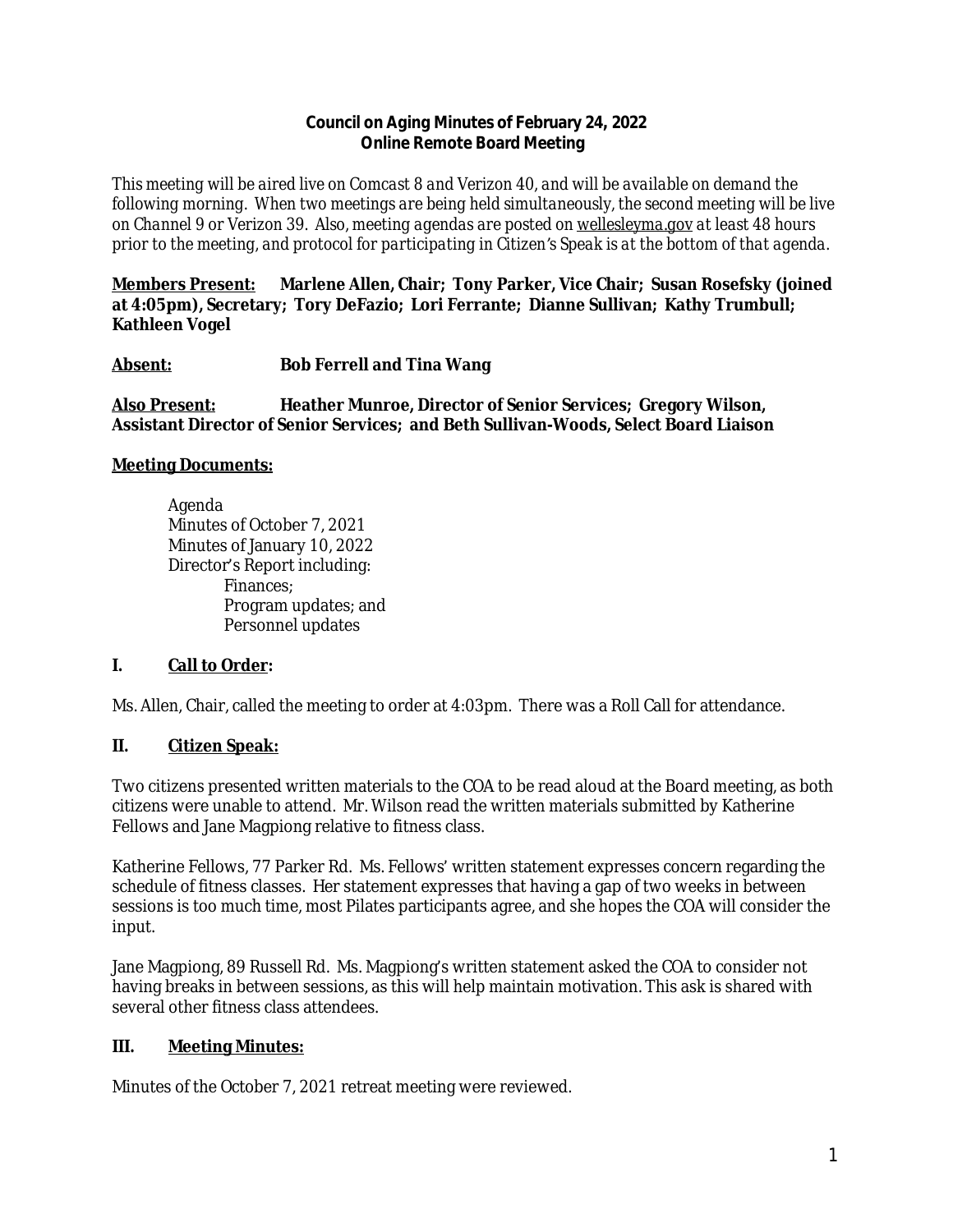#### **Council on Aging Minutes of February 24, 2022 Online Remote Board Meeting**

*This meeting will be aired live on Comcast 8 and Verizon 40, and will be available on demand the following morning. When two meetings are being held simultaneously, the second meeting will be live on Channel 9 or Verizon 39. Also, meeting agendas are posted on [wellesleyma.gov](http://wellesleyma.gov) at least 48 hours prior to the meeting, and protocol for participating in Citizen's Speak is at the bottom of that agenda.*

**Members Present: Marlene Allen, Chair; Tony Parker, Vice Chair; Susan Rosefsky (joined at 4:05pm), Secretary; Tory DeFazio; Lori Ferrante; Dianne Sullivan; Kathy Trumbull; Kathleen Vogel**

**Absent: Bob Ferrell and Tina Wang**

**Also Present: Heather Munroe, Director of Senior Services; Gregory Wilson, Assistant Director of Senior Services; and Beth Sullivan-Woods, Select Board Liaison**

## **Meeting Documents:**

Agenda Minutes of October 7, 2021 Minutes of January 10, 2022 Director's Report including: Finances; Program updates; and Personnel updates

## **I. Call to Order:**

Ms. Allen, Chair, called the meeting to order at 4:03pm. There was a Roll Call for attendance.

## **II. Citizen Speak:**

Two citizens presented written materials to the COA to be read aloud at the Board meeting, as both citizens were unable to attend. Mr. Wilson read the written materials submitted by Katherine Fellows and Jane Magpiong relative to fitness class.

Katherine Fellows, 77 Parker Rd. Ms. Fellows' written statement expresses concern regarding the schedule of fitness classes. Her statement expresses that having a gap of two weeks in between sessions is too much time, most Pilates participants agree, and she hopes the COA will consider the input.

Jane Magpiong, 89 Russell Rd. Ms. Magpiong's written statement asked the COA to consider not having breaks in between sessions, as this will help maintain motivation. This ask is shared with several other fitness class attendees.

## **III. Meeting Minutes:**

Minutes of the October 7, 2021 retreat meeting were reviewed.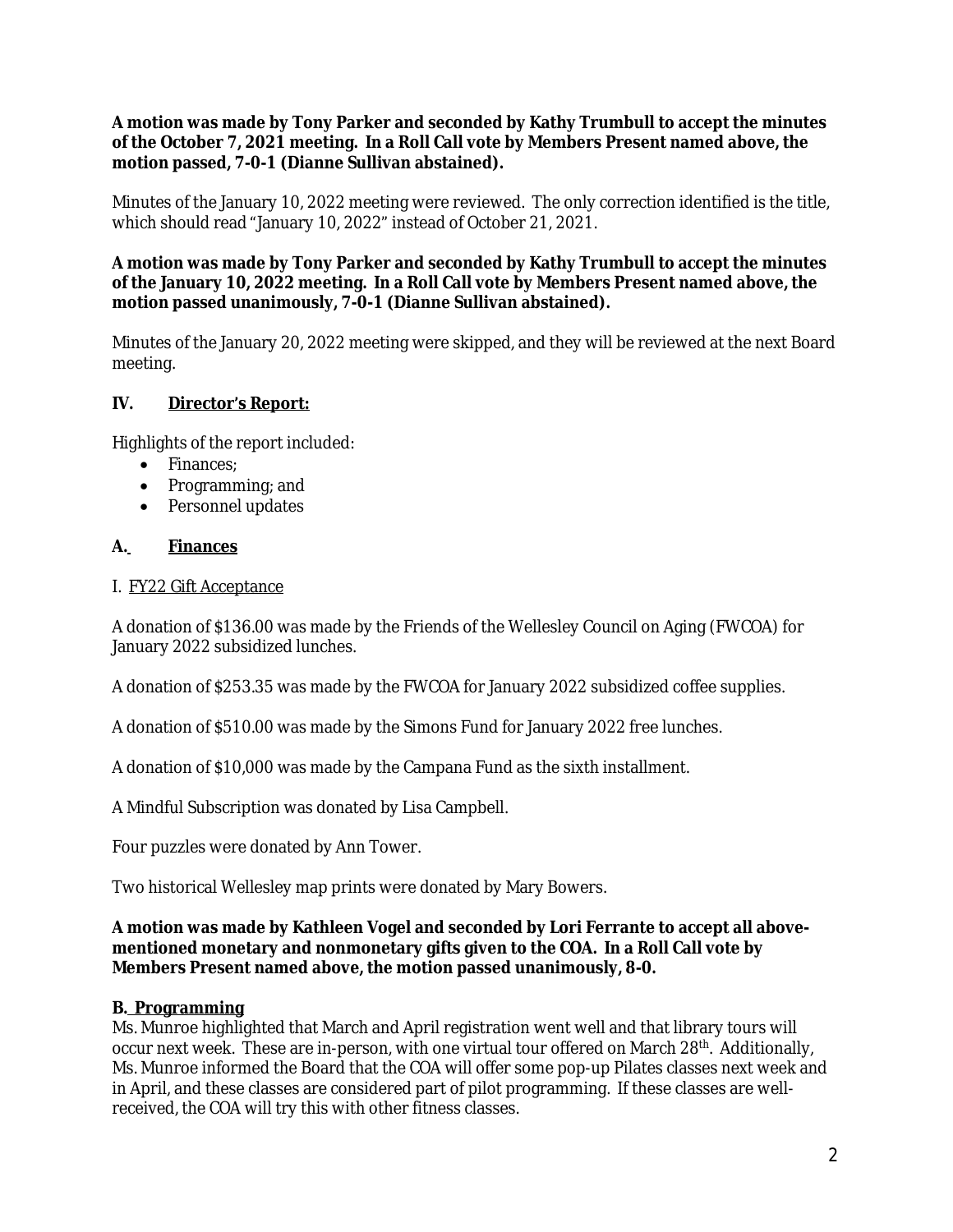**A motion was made by Tony Parker and seconded by Kathy Trumbull to accept the minutes of the October 7, 2021 meeting. In a Roll Call vote by Members Present named above, the motion passed, 7-0-1 (Dianne Sullivan abstained).**

Minutes of the January 10, 2022 meeting were reviewed. The only correction identified is the title, which should read "January 10, 2022" instead of October 21, 2021.

### **A motion was made by Tony Parker and seconded by Kathy Trumbull to accept the minutes of the January 10, 2022 meeting. In a Roll Call vote by Members Present named above, the motion passed unanimously, 7-0-1 (Dianne Sullivan abstained).**

Minutes of the January 20, 2022 meeting were skipped, and they will be reviewed at the next Board meeting.

## **IV. Director's Report:**

Highlights of the report included:

- · Finances;
- · Programming; and
- · Personnel updates

## **A. Finances**

#### I. FY22 Gift Acceptance

A donation of \$136.00 was made by the Friends of the Wellesley Council on Aging (FWCOA) for January 2022 subsidized lunches.

A donation of \$253.35 was made by the FWCOA for January 2022 subsidized coffee supplies.

A donation of \$510.00 was made by the Simons Fund for January 2022 free lunches.

A donation of \$10,000 was made by the Campana Fund as the sixth installment.

A Mindful Subscription was donated by Lisa Campbell.

Four puzzles were donated by Ann Tower.

Two historical Wellesley map prints were donated by Mary Bowers.

### **A motion was made by Kathleen Vogel and seconded by Lori Ferrante to accept all abovementioned monetary and nonmonetary gifts given to the COA. In a Roll Call vote by Members Present named above, the motion passed unanimously, 8-0.**

### **B. Programming**

Ms. Munroe highlighted that March and April registration went well and that library tours will occur next week. These are in-person, with one virtual tour offered on March 28<sup>th</sup>. Additionally, Ms. Munroe informed the Board that the COA will offer some pop-up Pilates classes next week and in April, and these classes are considered part of pilot programming. If these classes are wellreceived, the COA will try this with other fitness classes.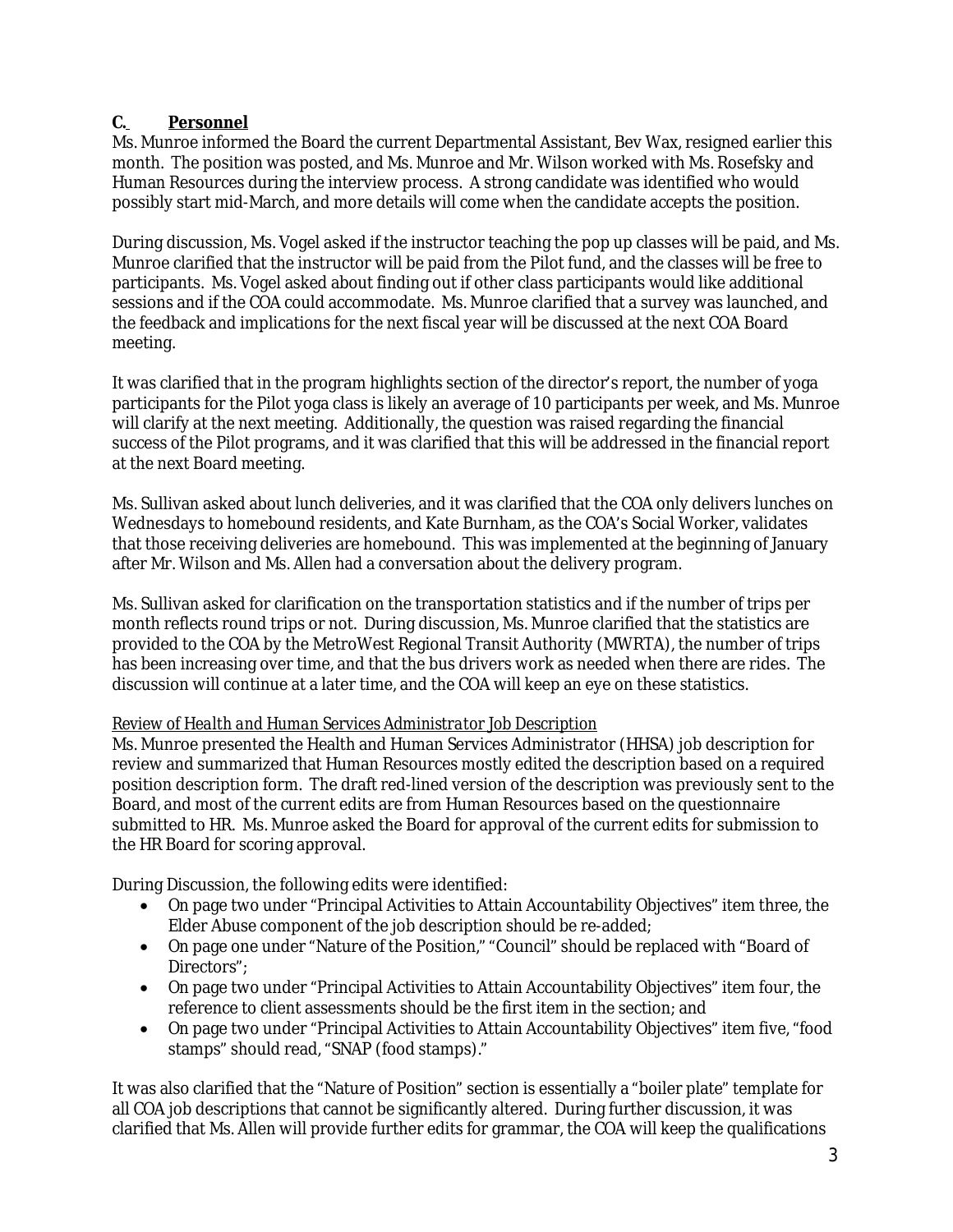# **C. Personnel**

Ms. Munroe informed the Board the current Departmental Assistant, Bev Wax, resigned earlier this month. The position was posted, and Ms. Munroe and Mr. Wilson worked with Ms. Rosefsky and Human Resources during the interview process. A strong candidate was identified who would possibly start mid-March, and more details will come when the candidate accepts the position.

During discussion, Ms. Vogel asked if the instructor teaching the pop up classes will be paid, and Ms. Munroe clarified that the instructor will be paid from the Pilot fund, and the classes will be free to participants. Ms. Vogel asked about finding out if other class participants would like additional sessions and if the COA could accommodate. Ms. Munroe clarified that a survey was launched, and the feedback and implications for the next fiscal year will be discussed at the next COA Board meeting.

It was clarified that in the program highlights section of the director's report, the number of yoga participants for the Pilot yoga class is likely an average of 10 participants per week, and Ms. Munroe will clarify at the next meeting. Additionally, the question was raised regarding the financial success of the Pilot programs, and it was clarified that this will be addressed in the financial report at the next Board meeting.

Ms. Sullivan asked about lunch deliveries, and it was clarified that the COA only delivers lunches on Wednesdays to homebound residents, and Kate Burnham, as the COA's Social Worker, validates that those receiving deliveries are homebound. This was implemented at the beginning of January after Mr. Wilson and Ms. Allen had a conversation about the delivery program.

Ms. Sullivan asked for clarification on the transportation statistics and if the number of trips per month reflects round trips or not. During discussion, Ms. Munroe clarified that the statistics are provided to the COA by the MetroWest Regional Transit Authority (MWRTA), the number of trips has been increasing over time, and that the bus drivers work as needed when there are rides. The discussion will continue at a later time, and the COA will keep an eye on these statistics.

## *Review of Health and Human Services Administrator Job Description*

Ms. Munroe presented the Health and Human Services Administrator (HHSA) job description for review and summarized that Human Resources mostly edited the description based on a required position description form. The draft red-lined version of the description was previously sent to the Board, and most of the current edits are from Human Resources based on the questionnaire submitted to HR. Ms. Munroe asked the Board for approval of the current edits for submission to the HR Board for scoring approval.

During Discussion, the following edits were identified:

- · On page two under "Principal Activities to Attain Accountability Objectives" item three, the Elder Abuse component of the job description should be re-added;
- · On page one under "Nature of the Position," "Council" should be replaced with "Board of Directors";
- · On page two under "Principal Activities to Attain Accountability Objectives" item four, the reference to client assessments should be the first item in the section; and
- · On page two under "Principal Activities to Attain Accountability Objectives" item five, "food stamps" should read, "SNAP (food stamps)."

It was also clarified that the "Nature of Position" section is essentially a "boiler plate" template for all COA job descriptions that cannot be significantly altered. During further discussion, it was clarified that Ms. Allen will provide further edits for grammar, the COA will keep the qualifications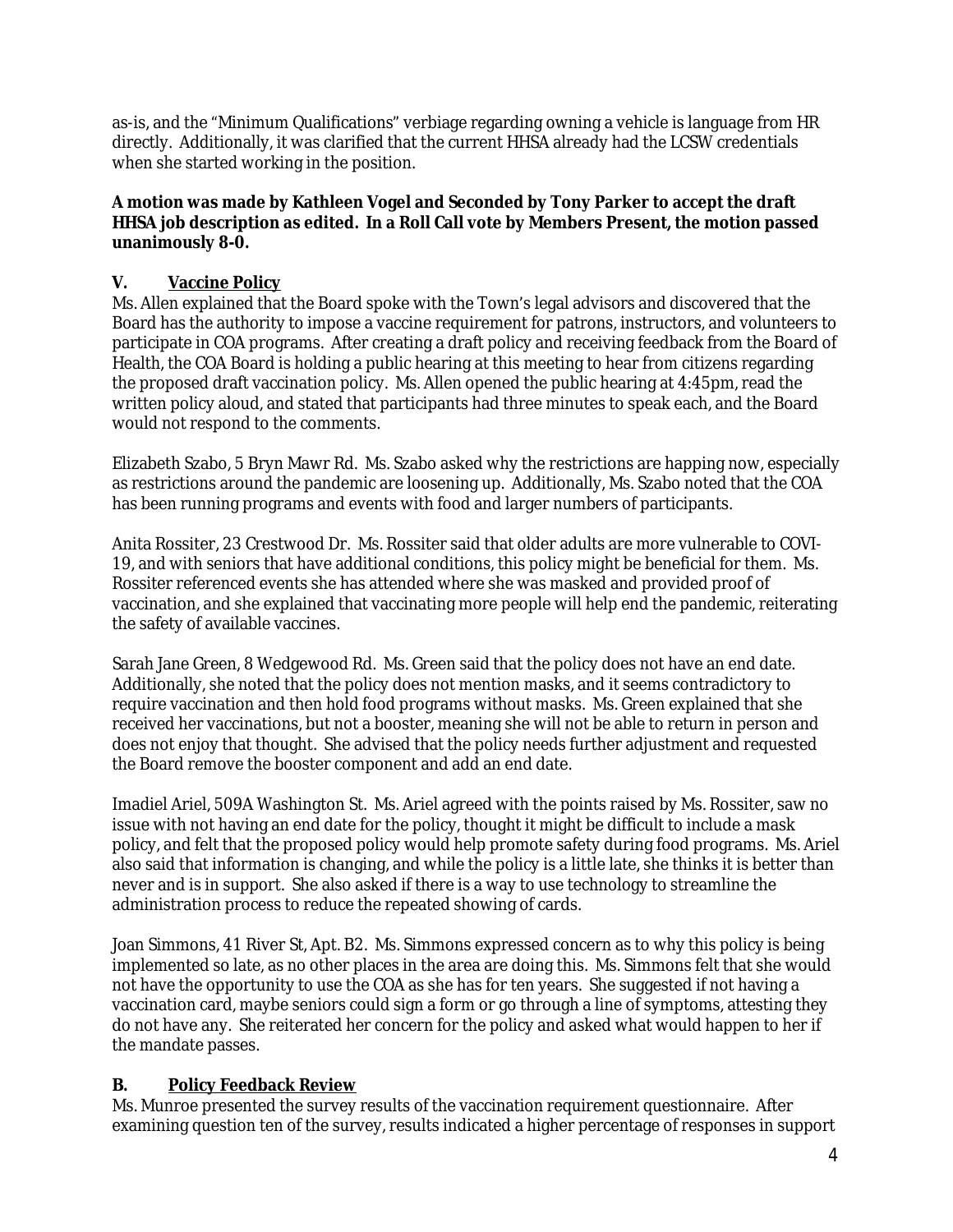as-is, and the "Minimum Qualifications" verbiage regarding owning a vehicle is language from HR directly. Additionally, it was clarified that the current HHSA already had the LCSW credentials when she started working in the position.

## **A motion was made by Kathleen Vogel and Seconded by Tony Parker to accept the draft HHSA job description as edited. In a Roll Call vote by Members Present, the motion passed unanimously 8-0.**

# **V. Vaccine Policy**

Ms. Allen explained that the Board spoke with the Town's legal advisors and discovered that the Board has the authority to impose a vaccine requirement for patrons, instructors, and volunteers to participate in COA programs. After creating a draft policy and receiving feedback from the Board of Health, the COA Board is holding a public hearing at this meeting to hear from citizens regarding the proposed draft vaccination policy. Ms. Allen opened the public hearing at 4:45pm, read the written policy aloud, and stated that participants had three minutes to speak each, and the Board would not respond to the comments.

Elizabeth Szabo, 5 Bryn Mawr Rd. Ms. Szabo asked why the restrictions are happing now, especially as restrictions around the pandemic are loosening up. Additionally, Ms. Szabo noted that the COA has been running programs and events with food and larger numbers of participants.

Anita Rossiter, 23 Crestwood Dr. Ms. Rossiter said that older adults are more vulnerable to COVI-19, and with seniors that have additional conditions, this policy might be beneficial for them. Ms. Rossiter referenced events she has attended where she was masked and provided proof of vaccination, and she explained that vaccinating more people will help end the pandemic, reiterating the safety of available vaccines.

Sarah Jane Green, 8 Wedgewood Rd. Ms. Green said that the policy does not have an end date. Additionally, she noted that the policy does not mention masks, and it seems contradictory to require vaccination and then hold food programs without masks. Ms. Green explained that she received her vaccinations, but not a booster, meaning she will not be able to return in person and does not enjoy that thought. She advised that the policy needs further adjustment and requested the Board remove the booster component and add an end date.

Imadiel Ariel, 509A Washington St. Ms. Ariel agreed with the points raised by Ms. Rossiter, saw no issue with not having an end date for the policy, thought it might be difficult to include a mask policy, and felt that the proposed policy would help promote safety during food programs. Ms. Ariel also said that information is changing, and while the policy is a little late, she thinks it is better than never and is in support. She also asked if there is a way to use technology to streamline the administration process to reduce the repeated showing of cards.

Joan Simmons, 41 River St, Apt. B2. Ms. Simmons expressed concern as to why this policy is being implemented so late, as no other places in the area are doing this. Ms. Simmons felt that she would not have the opportunity to use the COA as she has for ten years. She suggested if not having a vaccination card, maybe seniors could sign a form or go through a line of symptoms, attesting they do not have any. She reiterated her concern for the policy and asked what would happen to her if the mandate passes.

## **B. Policy Feedback Review**

Ms. Munroe presented the survey results of the vaccination requirement questionnaire. After examining question ten of the survey, results indicated a higher percentage of responses in support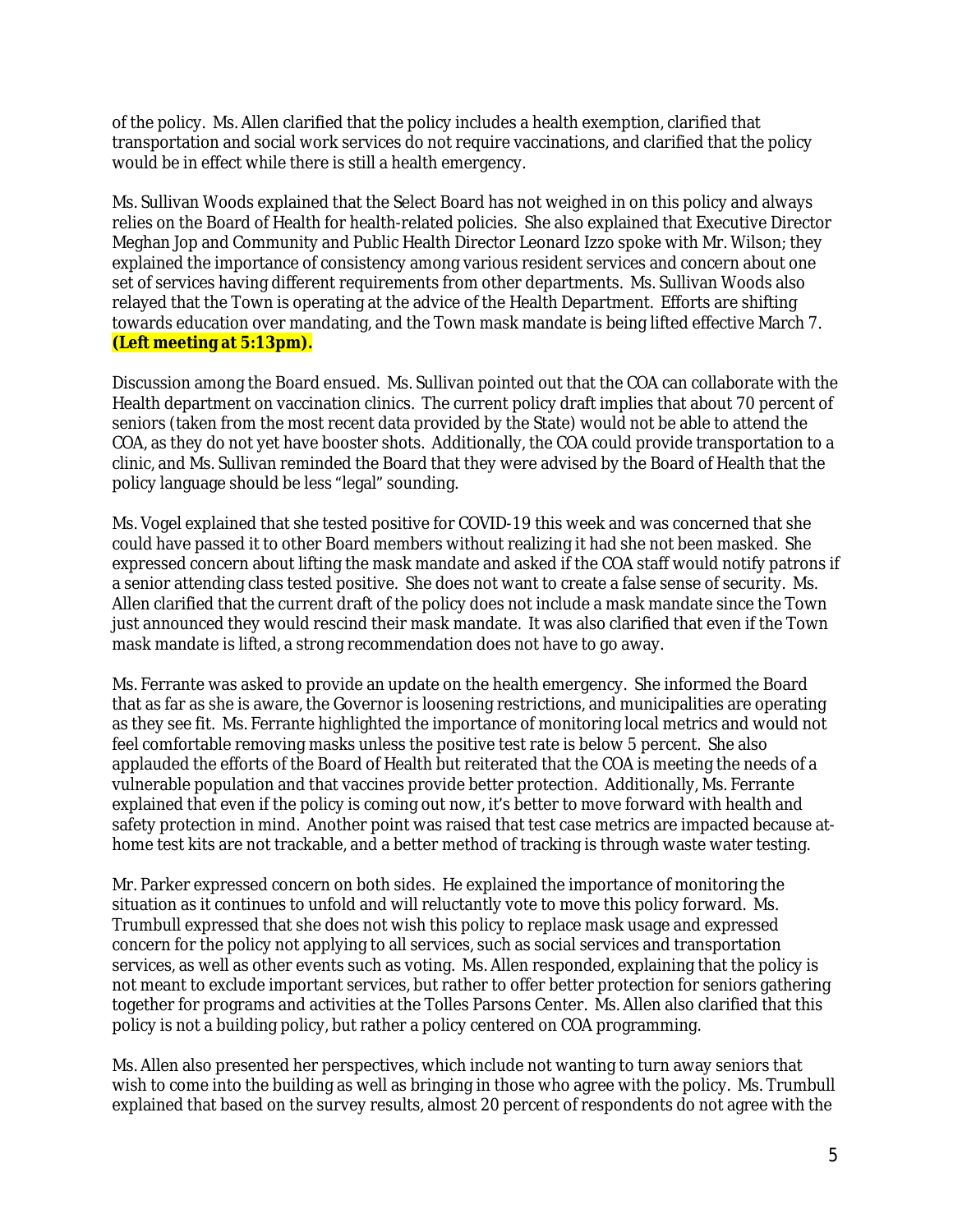of the policy. Ms. Allen clarified that the policy includes a health exemption, clarified that transportation and social work services do not require vaccinations, and clarified that the policy would be in effect while there is still a health emergency.

Ms. Sullivan Woods explained that the Select Board has not weighed in on this policy and always relies on the Board of Health for health-related policies. She also explained that Executive Director Meghan Jop and Community and Public Health Director Leonard Izzo spoke with Mr. Wilson; they explained the importance of consistency among various resident services and concern about one set of services having different requirements from other departments. Ms. Sullivan Woods also relayed that the Town is operating at the advice of the Health Department. Efforts are shifting towards education over mandating, and the Town mask mandate is being lifted effective March 7. **(Left meeting at 5:13pm).**

Discussion among the Board ensued. Ms. Sullivan pointed out that the COA can collaborate with the Health department on vaccination clinics. The current policy draft implies that about 70 percent of seniors (taken from the most recent data provided by the State) would not be able to attend the COA, as they do not yet have booster shots. Additionally, the COA could provide transportation to a clinic, and Ms. Sullivan reminded the Board that they were advised by the Board of Health that the policy language should be less "legal" sounding.

Ms. Vogel explained that she tested positive for COVID-19 this week and was concerned that she could have passed it to other Board members without realizing it had she not been masked. She expressed concern about lifting the mask mandate and asked if the COA staff would notify patrons if a senior attending class tested positive. She does not want to create a false sense of security. Ms. Allen clarified that the current draft of the policy does not include a mask mandate since the Town just announced they would rescind their mask mandate. It was also clarified that even if the Town mask mandate is lifted, a strong recommendation does not have to go away.

Ms. Ferrante was asked to provide an update on the health emergency. She informed the Board that as far as she is aware, the Governor is loosening restrictions, and municipalities are operating as they see fit. Ms. Ferrante highlighted the importance of monitoring local metrics and would not feel comfortable removing masks unless the positive test rate is below 5 percent. She also applauded the efforts of the Board of Health but reiterated that the COA is meeting the needs of a vulnerable population and that vaccines provide better protection. Additionally, Ms. Ferrante explained that even if the policy is coming out now, it's better to move forward with health and safety protection in mind. Another point was raised that test case metrics are impacted because athome test kits are not trackable, and a better method of tracking is through waste water testing.

Mr. Parker expressed concern on both sides. He explained the importance of monitoring the situation as it continues to unfold and will reluctantly vote to move this policy forward. Ms. Trumbull expressed that she does not wish this policy to replace mask usage and expressed concern for the policy not applying to all services, such as social services and transportation services, as well as other events such as voting. Ms. Allen responded, explaining that the policy is not meant to exclude important services, but rather to offer better protection for seniors gathering together for programs and activities at the Tolles Parsons Center. Ms. Allen also clarified that this policy is not a building policy, but rather a policy centered on COA programming.

Ms. Allen also presented her perspectives, which include not wanting to turn away seniors that wish to come into the building as well as bringing in those who agree with the policy. Ms. Trumbull explained that based on the survey results, almost 20 percent of respondents do not agree with the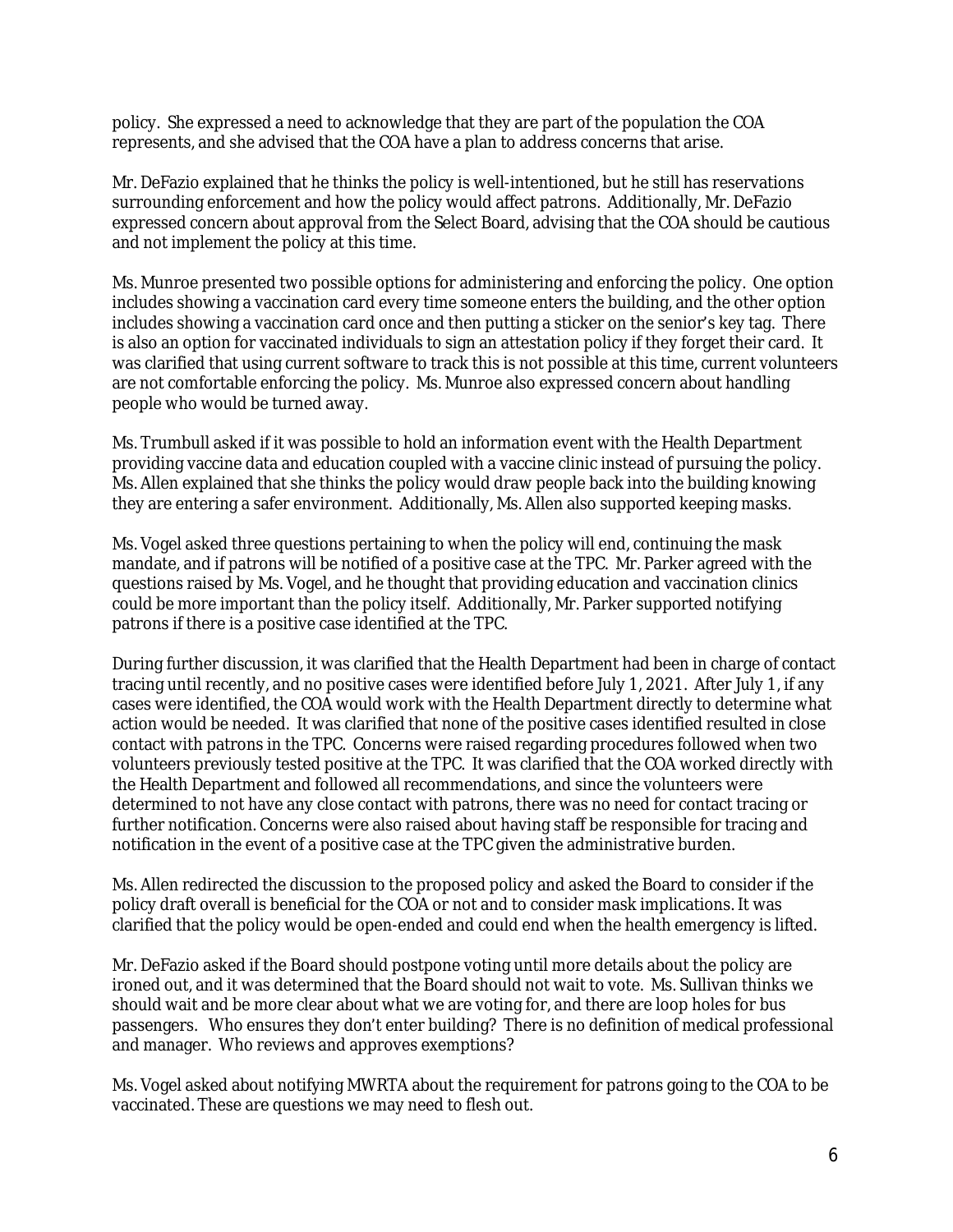policy. She expressed a need to acknowledge that they are part of the population the COA represents, and she advised that the COA have a plan to address concerns that arise.

Mr. DeFazio explained that he thinks the policy is well-intentioned, but he still has reservations surrounding enforcement and how the policy would affect patrons. Additionally, Mr. DeFazio expressed concern about approval from the Select Board, advising that the COA should be cautious and not implement the policy at this time.

Ms. Munroe presented two possible options for administering and enforcing the policy. One option includes showing a vaccination card every time someone enters the building, and the other option includes showing a vaccination card once and then putting a sticker on the senior's key tag. There is also an option for vaccinated individuals to sign an attestation policy if they forget their card. It was clarified that using current software to track this is not possible at this time, current volunteers are not comfortable enforcing the policy. Ms. Munroe also expressed concern about handling people who would be turned away.

Ms. Trumbull asked if it was possible to hold an information event with the Health Department providing vaccine data and education coupled with a vaccine clinic instead of pursuing the policy. Ms. Allen explained that she thinks the policy would draw people back into the building knowing they are entering a safer environment. Additionally, Ms. Allen also supported keeping masks.

Ms. Vogel asked three questions pertaining to when the policy will end, continuing the mask mandate, and if patrons will be notified of a positive case at the TPC. Mr. Parker agreed with the questions raised by Ms. Vogel, and he thought that providing education and vaccination clinics could be more important than the policy itself. Additionally, Mr. Parker supported notifying patrons if there is a positive case identified at the TPC.

During further discussion, it was clarified that the Health Department had been in charge of contact tracing until recently, and no positive cases were identified before July 1, 2021. After July 1, if any cases were identified, the COA would work with the Health Department directly to determine what action would be needed. It was clarified that none of the positive cases identified resulted in close contact with patrons in the TPC. Concerns were raised regarding procedures followed when two volunteers previously tested positive at the TPC. It was clarified that the COA worked directly with the Health Department and followed all recommendations, and since the volunteers were determined to not have any close contact with patrons, there was no need for contact tracing or further notification. Concerns were also raised about having staff be responsible for tracing and notification in the event of a positive case at the TPC given the administrative burden.

Ms. Allen redirected the discussion to the proposed policy and asked the Board to consider if the policy draft overall is beneficial for the COA or not and to consider mask implications. It was clarified that the policy would be open-ended and could end when the health emergency is lifted.

Mr. DeFazio asked if the Board should postpone voting until more details about the policy are ironed out, and it was determined that the Board should not wait to vote. Ms. Sullivan thinks we should wait and be more clear about what we are voting for, and there are loop holes for bus passengers. Who ensures they don't enter building? There is no definition of medical professional and manager. Who reviews and approves exemptions?

Ms. Vogel asked about notifying MWRTA about the requirement for patrons going to the COA to be vaccinated. These are questions we may need to flesh out.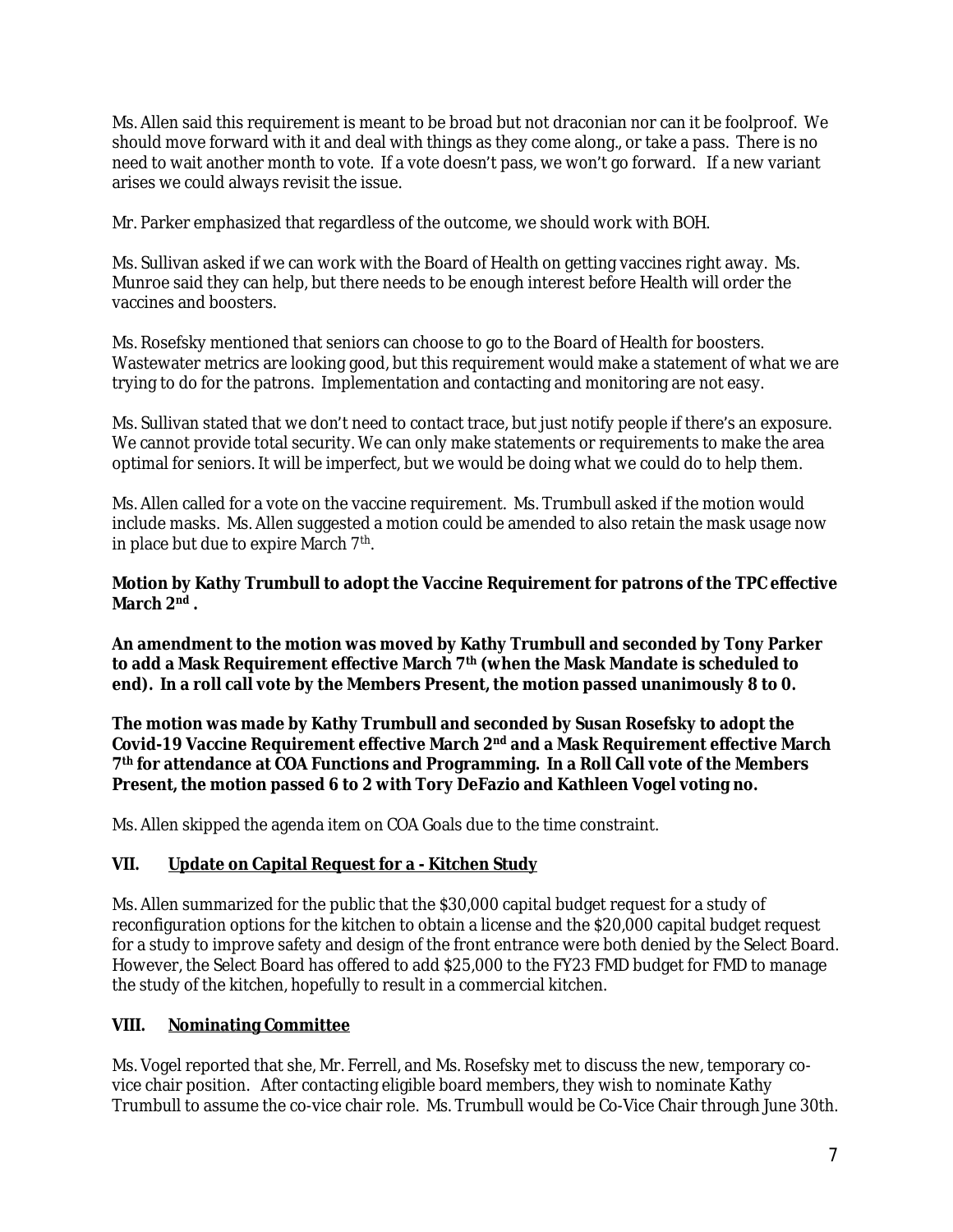Ms. Allen said this requirement is meant to be broad but not draconian nor can it be foolproof. We should move forward with it and deal with things as they come along., or take a pass. There is no need to wait another month to vote. If a vote doesn't pass, we won't go forward. If a new variant arises we could always revisit the issue.

Mr. Parker emphasized that regardless of the outcome, we should work with BOH.

Ms. Sullivan asked if we can work with the Board of Health on getting vaccines right away. Ms. Munroe said they can help, but there needs to be enough interest before Health will order the vaccines and boosters.

Ms. Rosefsky mentioned that seniors can choose to go to the Board of Health for boosters. Wastewater metrics are looking good, but this requirement would make a statement of what we are trying to do for the patrons. Implementation and contacting and monitoring are not easy.

Ms. Sullivan stated that we don't need to contact trace, but just notify people if there's an exposure. We cannot provide total security. We can only make statements or requirements to make the area optimal for seniors. It will be imperfect, but we would be doing what we could do to help them.

Ms. Allen called for a vote on the vaccine requirement. Ms. Trumbull asked if the motion would include masks. Ms. Allen suggested a motion could be amended to also retain the mask usage now in place but due to expire March 7<sup>th</sup>.

## **Motion by Kathy Trumbull to adopt the Vaccine Requirement for patrons of the TPC effective March 2 nd .**

**An amendment to the motion was moved by Kathy Trumbull and seconded by Tony Parker to add a Mask Requirement effective March 7th (when the Mask Mandate is scheduled to end). In a roll call vote by the Members Present, the motion passed unanimously 8 to 0.**

**The motion was made by Kathy Trumbull and seconded by Susan Rosefsky to adopt the Covid-19 Vaccine Requirement effective March 2nd and a Mask Requirement effective March 7 th for attendance at COA Functions and Programming. In a Roll Call vote of the Members Present, the motion passed 6 to 2 with Tory DeFazio and Kathleen Vogel voting no.**

Ms. Allen skipped the agenda item on COA Goals due to the time constraint.

## **VII. Update on Capital Request for a - Kitchen Study**

Ms. Allen summarized for the public that the \$30,000 capital budget request for a study of reconfiguration options for the kitchen to obtain a license and the \$20,000 capital budget request for a study to improve safety and design of the front entrance were both denied by the Select Board. However, the Select Board has offered to add \$25,000 to the FY23 FMD budget for FMD to manage the study of the kitchen, hopefully to result in a commercial kitchen.

### **VIII. Nominating Committee**

Ms. Vogel reported that she, Mr. Ferrell, and Ms. Rosefsky met to discuss the new, temporary covice chair position. After contacting eligible board members, they wish to nominate Kathy Trumbull to assume the co-vice chair role. Ms. Trumbull would be Co-Vice Chair through June 30th.